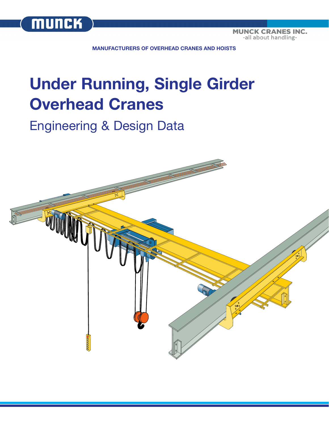

**MUNCK CRANES INC.** -all about handling-

**MANUFACTURERS OF OVERHEAD CRANES AND HOISTS**

# **Under Running, Single Girder Overhead Cranes**

## Engineering & Design Data

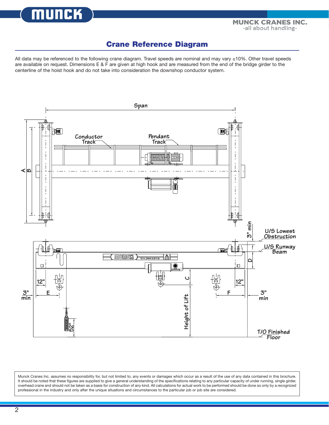munc

### **Crane Reference Diagram**

All data may be referenced to the following crane diagram. Travel speeds are nominal and may vary ±10%. Other travel speeds are available on request. Dimensions E & F are given at high hook and are measured from the end of the bridge girder to the centerline of the hoist hook and do not take into consideration the downshop conductor system.



Munck Cranes Inc. assumes no responsibility for, but not limited to, any events or damages which occur as a result of the use of any data contained in this brochure. It should be noted that these figures are supplied to give a general understanding of the specifications relating to any particular capacity of under running, single girder, overhead crane and should not be taken as a basis for construction of any kind. All calculations for actual work to be performed should be done so only by a recognized professional in the industry and only after the unique situations and circumstances to the particular job or job site are considered.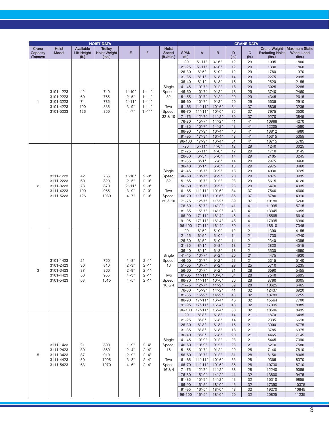|                               | <b>HOIST DATA</b>                                             |                                   |                                                 |                      |           |                              | <b>CRANE DATA</b>             |                              |                         |            |                      |                                                         |                                                      |  |
|-------------------------------|---------------------------------------------------------------|-----------------------------------|-------------------------------------------------|----------------------|-----------|------------------------------|-------------------------------|------------------------------|-------------------------|------------|----------------------|---------------------------------------------------------|------------------------------------------------------|--|
| Crane<br>Capacity<br>(Tonnes) | <b>Hoist</b><br>Model                                         | Available<br>Lift Height<br>(ft.) | <b>Trolley</b><br><b>Hoist Weight</b><br>(lbs.) | E                    | F         | Hoist<br>Speed<br>(ft./min.) | <b>SPAN</b><br>( <b>ft</b> .) | A                            | B                       | D<br>(in.) | $\mathbf C$<br>(in.) | <b>Crane Weight</b><br><b>Excluding Hoist</b><br>(lbs.) | <b>Maximum Static</b><br><b>Wheel Load</b><br>(lbs.) |  |
|                               |                                                               |                                   |                                                 |                      |           |                              | $-20$                         | $5' - 11"$                   | $4'-6''$                | 12         | 29                   | 1095                                                    | 1800                                                 |  |
|                               |                                                               |                                   |                                                 |                      |           |                              | $21 - 25$                     | $5' - 11"$                   | $4'-6''$                | 12         | 29                   | 1330                                                    | 1860                                                 |  |
|                               |                                                               |                                   |                                                 |                      |           |                              | $26 - 30$                     | $6'-5''$                     | $5'-0''$                | 12         | 29                   | 1780                                                    | 1970                                                 |  |
|                               |                                                               |                                   |                                                 |                      |           |                              | $31 - 35$                     | $8'-1$ "                     | $6' - 8''$              | 14         | 29                   | 2275                                                    | 2095                                                 |  |
|                               |                                                               |                                   |                                                 |                      |           |                              | 36-40                         | $8'-1$ "                     | $6' - 8''$              | 16         | 29                   | 2520                                                    | 2155                                                 |  |
|                               |                                                               |                                   |                                                 |                      |           | Single                       | $41 - 45$                     | $10'-7"$                     | $9' - 2"$               | 18         | 29                   | 3025                                                    | 2285                                                 |  |
|                               | 3101-1223<br>3101-2223                                        | 42                                | 740                                             | $1'-10"$<br>$2'-5''$ | $1'-11"$  | Speed:                       | 46-50                         | $10'-7"$                     | $9' - 2"$               | 18         | 29                   | 3740                                                    | 2460                                                 |  |
|                               |                                                               | 60                                | 765                                             |                      | $1'-11"$  | 32                           | $51 - 55$                     | $10'-7"$                     | $9' - 2"$               | 20         | 29                   | 4345                                                    | 2615                                                 |  |
| 1                             | 3101-3223                                                     | 74                                | 785                                             | $2' - 11"$           | $1'-11"$  |                              | 56-60                         | $10'-7"$                     | $9' - 2"$               | 20         | 29                   | 5535                                                    | 2910                                                 |  |
|                               | 3101-4223                                                     | 100                               | 835                                             | $3'-9''$             | $1'-11"$  | Two                          | $61 - 65$                     | $11'-11"$                    | $10'-6"$                | 34         | 37                   | 6835                                                    | 3235                                                 |  |
|                               | 3101-5223                                                     | 126                               | 850                                             | $4' - 7''$           | $1'-11"$  | Speed:                       | 66-70                         | $11'-11"$                    | $10'-6''$               | 35         | 37                   | 7975                                                    | 3520                                                 |  |
|                               |                                                               |                                   |                                                 |                      |           | 32 & 10                      | $71 - 75$                     | $12 - 7"$                    | $11'-2"$                | 39         | 37                   | 9270                                                    | 3845                                                 |  |
|                               |                                                               |                                   |                                                 |                      |           |                              | 76-80                         | $15 - 7"$                    | $14 - 2"$               | 41         | 41                   | 10968                                                   | 4270                                                 |  |
|                               |                                                               |                                   |                                                 |                      |           |                              | $81 - 85$                     | $15'-7$ "                    | $14'-2"$                | 43         | 41                   | 12205                                                   | 4580                                                 |  |
|                               |                                                               |                                   |                                                 |                      |           |                              | 86-90                         | $17' - 9''$                  | $16' - 4"$              | 46         | 41                   | 13812                                                   | 4980                                                 |  |
|                               |                                                               |                                   |                                                 |                      |           |                              | $91 - 95$                     | $17' - 9''$                  | $16'-4"$                | 48         | 41                   | 15315                                                   | 5355                                                 |  |
|                               |                                                               |                                   |                                                 |                      |           |                              | 96-100                        | $17 - 9"$                    | $16' - 4"$              | 51         | 41                   | 16715                                                   | 5705                                                 |  |
|                               |                                                               |                                   |                                                 |                      |           |                              | $-20$                         | $5' - 11"$                   | $4'-6''$                | 12         | 29                   | 1240                                                    | 3025                                                 |  |
|                               |                                                               |                                   |                                                 |                      |           |                              | $21 - 25$                     | $5' - 11"$                   | $4'-6''$                | 12         | 29                   | 1710                                                    | 3145                                                 |  |
|                               |                                                               |                                   |                                                 |                      |           |                              | $26 - 30$                     | $6'-5''$                     | $5'-0$ "                | 14         | 29                   | 2105                                                    | 3245                                                 |  |
|                               |                                                               |                                   |                                                 |                      |           |                              | $31 - 35$                     | $8'-1$ "                     | $6' - 8''$              | 14         | 29                   | 2975                                                    | 3460                                                 |  |
|                               |                                                               |                                   |                                                 |                      |           |                              | $36 - 40$<br>$41 - 45$        | $8'-1$ "<br>$10'-7"$         | $6' - 8"$<br>$9' - 2"$  | 18         | 29<br>29             | 2975<br>4030                                            | 3460<br>3725                                         |  |
|                               | 3111-1223                                                     | 42                                | 765                                             | $1'-10"$             | $2 - 0$ " | Single                       | 46-50                         | $10'-7$ "                    | $9' - 2"$               | 18<br>20   | 29                   |                                                         | 3935                                                 |  |
|                               | 3111-2223                                                     | 60                                | 820                                             | $2'-5''$             | $2 - 0$ " | Speed:<br>32                 | $51 - 55$                     | $10'-7"$                     | $9' - 2"$               | 23         | 29                   | 4875<br>5615                                            | 4120                                                 |  |
| $\overline{c}$                | 3111-3223                                                     | 73                                | 870                                             | $2' - 11"$           | $2'-0''$  |                              | 56-60                         | $10'-7"$                     | $9' - 2"$               | 23         | 29                   | 6470                                                    | 4335                                                 |  |
|                               | 3111-4223                                                     | 100                               | 965                                             | $3'-9''$             | $2'-0''$  | Two                          | $61 - 65$                     | $11'-11"$                    | $10'-6''$               | 34         | 37                   | 7540                                                    | 4600                                                 |  |
|                               | 3111-5223                                                     | 126                               | 1030                                            | $4'-7''$             | $2'-0''$  | Speed:                       | 66-70                         | $11'-11"$                    | $10'-6''$               | 36         | 37                   | 8780                                                    | 4910                                                 |  |
|                               |                                                               |                                   |                                                 |                      |           | 32 & 10                      | $71 - 75$                     | $12'-7$ "                    | $11'-2"$                | 39         | 37                   | 10180                                                   | 5260                                                 |  |
|                               |                                                               |                                   |                                                 |                      |           |                              | 76-80                         | $15' - 7"$                   | $14'-2"$                | 41         | 41                   | 11995                                                   | 5715                                                 |  |
|                               |                                                               |                                   |                                                 |                      |           |                              | 81-85                         | $15' - 7"$                   | $14 - 2"$               | 43         | 41                   | 13345                                                   | 6055                                                 |  |
|                               |                                                               |                                   |                                                 |                      |           |                              | 86-90                         | $17' - 11"$                  | $16'-4"$                | 46         | 41                   | 15565                                                   | 6610                                                 |  |
|                               |                                                               |                                   |                                                 |                      |           |                              | $91 - 95$                     | $17' - 11"$                  | $16'-4"$                | 48         | 41                   | 17095                                                   | 6990                                                 |  |
|                               |                                                               |                                   |                                                 |                      |           |                              | 96-100                        | $17' - 11"$                  | $16'-4"$                | 50         | 41                   | 18510                                                   | 7345                                                 |  |
|                               |                                                               |                                   |                                                 |                      |           |                              | $-20$                         | $6'-5''$                     | $5'-0''$                | 12         | 21                   | 1390                                                    | 4155                                                 |  |
|                               |                                                               |                                   |                                                 |                      |           |                              | $21 - 25$                     | $6'-5''$                     | $5'-0''$                | 14         | 21                   | 1730                                                    | 4240                                                 |  |
|                               |                                                               |                                   |                                                 |                      |           |                              | 26-30                         | $6'-5''$                     | $5 - 0$ "               | 14         | 21                   | 2340                                                    | 4395                                                 |  |
|                               |                                                               |                                   |                                                 |                      |           |                              | $31 - 35$                     | $8'-1$ "                     | $6' - 8''$              | 18         | 21                   | 2820                                                    | 4515                                                 |  |
|                               |                                                               |                                   |                                                 |                      |           |                              | 36-40                         | $8'-1$ "                     | $6' - 8''$              | 18         | 21                   | 3530                                                    | 4690                                                 |  |
|                               |                                                               |                                   |                                                 |                      |           | Single                       | $41 - 45$                     | $10'-7"$                     | $9' - 2"$               | 20         | 21                   | 4475                                                    | 4930                                                 |  |
|                               | 3101-1423                                                     | 21                                | 750                                             | $1'-8''$             | $2 - 1"$  | Speed:                       | 46-50                         | $10'-7"$                     | $9' - 2"$               | 23         | 21                   | 5315                                                    | 5140                                                 |  |
|                               | 3101-2423                                                     | 30                                | 810                                             | $2'-3''$             | $2 - 1"$  | 16                           | $51 - 55$                     | $10'-7"$                     | $9' - 2"$               | 29         | 25                   | 5710                                                    | 5235                                                 |  |
| 3                             | 3101-3423                                                     | 37                                | 860                                             | $2'-9''$             | $2 - 1"$  |                              | 56-60                         | $10'-7"$                     | $9' - 2"$               | 31         | 28                   | 6590                                                    | 5455                                                 |  |
|                               | 3101-4423                                                     | 50                                | 955                                             | $4 - 3"$             | $2 - 1"$  | Two                          | $61 - 65$                     | $11'-11"$                    | $10'-6''$               | 34         | 28                   | 7540                                                    | 5695                                                 |  |
|                               | 3101-5423                                                     | 63                                | 1015                                            | $4 - 5"$             | $2'-1$ "  | Speed:                       | 66-70                         | $11'-11''$                   | $10'-6''$               | 36         | 28                   | 8780                                                    | 6005                                                 |  |
|                               |                                                               |                                   |                                                 |                      |           | 16 & 4                       | $71 - 75$                     | $12 - 7"$                    | $11'-2"$                | 39         | 28                   | 10625                                                   | 6465                                                 |  |
|                               |                                                               |                                   |                                                 |                      |           |                              | 76-80                         | $15 - 9"$                    | $14 - 2"$               | 41         | 32                   | 12437                                                   | 6920                                                 |  |
|                               |                                                               |                                   |                                                 |                      |           |                              | $81 - 85$                     | $15 - 9"$                    | $14 - 2"$               | 43         | 32                   | 13789                                                   | 7255                                                 |  |
|                               |                                                               |                                   |                                                 |                      |           |                              | 86-90                         | $17' - 11''$                 | $16' - 4"$              | 46         | 32                   | 15564                                                   | 7700                                                 |  |
|                               |                                                               |                                   |                                                 |                      |           |                              | $91 - 95$                     | $17' - 11''$<br>$17' - 11''$ | $16'-4"$                | 48         | 32                   | 17095<br>18506                                          | 8085                                                 |  |
|                               |                                                               |                                   |                                                 |                      |           |                              | 96-100<br>$-20$               | $8 - 3"$                     | $16' - 4"$<br>$6' - 8"$ | 50         | 32<br>21             |                                                         | 8435                                                 |  |
|                               |                                                               |                                   |                                                 |                      |           |                              | $21 - 25$                     | $8 - 3"$                     | $6'-8"$                 | 14<br>14   | 21                   | 1870<br>2335                                            | 6495<br>6610                                         |  |
|                               |                                                               | 21<br>30<br>37<br>50<br>63        |                                                 |                      |           |                              | $26 - 30$                     | $8 - 3"$                     | $6' - 8''$              | 16         | 21                   | 3000                                                    | 6775                                                 |  |
|                               |                                                               |                                   | 800                                             |                      |           |                              | $31 - 35$                     | $8 - 3"$                     | $6'-8''$                | 18         | 21                   | 3785                                                    | 6975                                                 |  |
|                               | 3111-1423<br>3111-2423<br>3111-3423<br>3111-4423<br>3111-5423 |                                   |                                                 |                      |           |                              | $36 - 40$                     | $8 - 3"$                     | $6' - 8''$              | 20         | 21                   | 4465                                                    | 7145                                                 |  |
|                               |                                                               |                                   |                                                 |                      |           | Single                       | $41 - 45$                     | $10 - 9"$                    | $9' - 2"$               | 23         | 21                   | 5445                                                    | 7390                                                 |  |
|                               |                                                               |                                   |                                                 | $1'-9''$             | $2 - 4"$  | Speed:                       | 46-50                         | $10'-9''$                    | $9' - 2"$               | 23         | 21                   | 6210                                                    | 7580                                                 |  |
|                               |                                                               |                                   | 860                                             | $2'-4"$              | $2 - 4"$  | 16                           | $51 - 55$                     | $10'-7"$                     | $9' - 2"$               | 29         | 25                   | 7140                                                    | 7810                                                 |  |
| 5                             |                                                               |                                   | 910<br>1005<br>1070                             | $2'-9''$             | $2 - 4"$  |                              | 56-60                         | $10'-7"$                     | $9' - 2"$               | 31         | 28                   | 8150                                                    | 8065                                                 |  |
|                               |                                                               |                                   |                                                 | $3'-8''$<br>$4'-6''$ | $2 - 4"$  | Two                          | 61-65                         | $11'-11"$                    | $10'-6''$               | 33         | 28                   | 9365                                                    | 8370                                                 |  |
|                               |                                                               |                                   |                                                 |                      | $2 - 4"$  | Speed:<br>16 & 4             | 66-70                         | $11'-11"$                    | $10'-6''$               | 36         | 28                   | 10730                                                   | 8710                                                 |  |
|                               |                                                               |                                   |                                                 |                      |           |                              | $71 - 75$                     | $12 - 7"$                    | $11'-2"$                | 38         | 28                   | 12240                                                   | 9085                                                 |  |
|                               |                                                               |                                   |                                                 |                      |           |                              | 76-80                         | $15 - 9"$                    | $14 - 2"$               | 41         | 32                   | 13800                                                   | 9475                                                 |  |
|                               |                                                               |                                   |                                                 |                      |           |                              | 81-85                         | $15 - 9"$                    | $14 - 2"$               | 43         | 32                   | 15310                                                   | 9855                                                 |  |
|                               |                                                               |                                   |                                                 |                      |           |                              | 86-90                         | $16'-5''$                    | $18 - 0$ "              | 45         | 32                   | 17390                                                   | 10375                                                |  |
|                               |                                                               |                                   |                                                 |                      |           |                              | $91 - 95$                     | $16' - 5"$                   | $18 - 0$ "              | 48         | 32                   | 19270                                                   | 10845                                                |  |
|                               |                                                               |                                   |                                                 |                      |           |                              | 96-100                        | $16'-5''$                    | $18 - 0$ "              | 50         | 32                   | 20825                                                   | 11235                                                |  |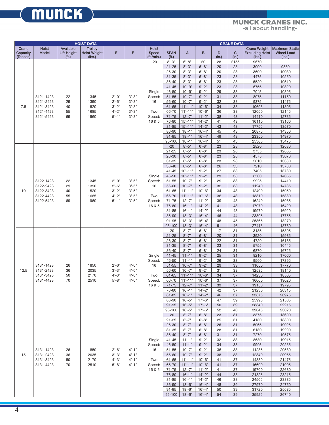## **TOTAL CRANE SYSTEMS**

|                               | <b>HOIST DATA</b>      |                                            |                                                 |                      |           |                                     | <b>CRANE DATA</b>             |                        |                        |            |                       |                                                         |                                                      |
|-------------------------------|------------------------|--------------------------------------------|-------------------------------------------------|----------------------|-----------|-------------------------------------|-------------------------------|------------------------|------------------------|------------|-----------------------|---------------------------------------------------------|------------------------------------------------------|
| Crane<br>Capacity<br>(Tonnes) | Hoist<br>Model         | Available<br>Lift Height<br>( <b>ft</b> .) | <b>Trolley</b><br><b>Hoist Weight</b><br>(lbs.) | Ε                    | F         | <b>Hoist</b><br>Speed<br>(ft./min.) | <b>SPAN</b><br>( <b>ft</b> .) | A                      | B                      | D<br>(in.) | $\mathbf{C}$<br>(in.) | <b>Crane Weight</b><br><b>Excluding Hoist</b><br>(lbs.) | <b>Maximum Static</b><br><b>Wheel Load</b><br>(lbs.) |
|                               |                        |                                            |                                                 |                      |           | $-20$                               | $8 - 3"$                      | $6' - 8''$             | 20                     | 28         | 2155                  | 9670                                                    |                                                      |
|                               |                        |                                            |                                                 |                      |           |                                     | $21 - 25$                     | $8'-3''$               | $6' - 8"$              | 20         | 28                    | 3000                                                    | 9880                                                 |
|                               |                        |                                            |                                                 |                      |           |                                     | 26-30                         | $8 - 3"$               | $6' - 8''$             | 20         | 28                    | 3600                                                    | 10030                                                |
|                               |                        |                                            |                                                 |                      |           |                                     | $31 - 35$                     | $8'-3''$               | $6' - 8''$             | 23         | 28                    | 4475                                                    | 10250                                                |
|                               |                        |                                            |                                                 |                      |           |                                     | 36-40                         | $8 - 3"$               | $6'-8''$               | 23         | 28                    | 5520                                                    | 10510                                                |
|                               |                        |                                            |                                                 |                      |           |                                     | $41 - 45$                     | $10'-9''$              | $9' - 2"$              | 23         | 28                    | 6755                                                    | 10820                                                |
|                               |                        |                                            |                                                 |                      |           | Single                              | 46-50                         | $10'-9''$              | $9' - 2"$              | 29         | 33                    | 7045                                                    | 10895                                                |
|                               | 3121-1423<br>3121-2423 | 22                                         | 1345                                            | $2'-0''$<br>$2'-6''$ | $3'-3''$  | Speed:                              | $51 - 55$                     | $10'-7$                | $9' - 2"$              | 31         | 38                    | 8075                                                    | 11150                                                |
|                               |                        | 29                                         | 1390                                            |                      | $3'-3''$  | 16                                  | 56-60                         | $10'-7$ "              | $9' - 2"$              | 32         | 38                    | 9375                                                    | 11475                                                |
| 7.5                           | 3121-3423              | 40                                         | 1520                                            | $3'-2"$              | $3'-3''$  |                                     | $61 - 65$                     | $11'-11"$              | $10'-6''$              | 34         | 38                    | 10695                                                   | 11805                                                |
|                               | 3121-4423              | 55                                         | 1685                                            | $4'-2"$              | $3'-3''$  | Two                                 | 66-70                         | $11'-11"$              | $10'-6''$              | 36         | 38                    | 12050                                                   | 12145                                                |
|                               | 3121-5423              | 69                                         | 1960                                            | $5'-1$ "             | $3'-3''$  | Speed:                              | $71 - 75$                     | $12'-7$                | $11'-2"$               | 38         | 43                    | 14410                                                   | 12735                                                |
|                               |                        |                                            |                                                 |                      |           | 16 & 5                              | 76-80                         | $15' - 11"$            | $14 - 2"$              | 41         | 43                    | 16110                                                   | 13160                                                |
|                               |                        |                                            |                                                 |                      |           |                                     | $81 - 85$                     | $15' - 11"$            | $14'-2"$               | 43         | 43                    | 17755                                                   | 13570                                                |
|                               |                        |                                            |                                                 |                      |           |                                     | 86-90                         | $18 - 1$ "             | $16' - 4"$             | 45         | 43                    | 20875                                                   | 14350                                                |
|                               |                        |                                            |                                                 |                      |           |                                     | $91 - 95$                     | $18'-1$ "              | $16' - 4"$             | 49         | 43                    | 23350                                                   | 14970                                                |
|                               |                        |                                            |                                                 |                      |           |                                     | 96-100                        | $18' - 1"$             | $16' - 4"$             | 51         | 43                    | 25365                                                   | 15475                                                |
|                               |                        |                                            |                                                 |                      |           |                                     | $-20$                         | $8'-5''$               | $6' - 8"$              | 23         | 28                    | 2820                                                    | 12630                                                |
|                               |                        |                                            |                                                 |                      |           |                                     | $21 - 25$                     | $8 - 5"$               | $6' - 8''$             | 23         | 28                    | 3755                                                    | 12865                                                |
|                               |                        |                                            |                                                 |                      |           |                                     | $26 - 30$                     | $8'-5''$               | $6' - 8"$              | 23         | 28                    | 4575                                                    | 13070                                                |
|                               |                        |                                            |                                                 |                      |           |                                     | $31 - 35$                     | $8 - 5"$               | $6' - 8''$             | 23         | 28                    | 5610                                                    | 13330                                                |
|                               |                        |                                            |                                                 |                      |           |                                     | $36 - 40$                     | $8'-5''$               | $6' - 8''$             | 26         | 33                    | 7210                                                    | 13730                                                |
|                               |                        |                                            |                                                 |                      |           |                                     | $41 - 45$                     | $10' - 11"$            | $9' - 2"$              | 27         | 38                    | 7405                                                    | 13780                                                |
|                               |                        |                                            |                                                 |                      |           | Single                              | 46-50                         | $10' - 11'$            | $9' - 2"$              | 29         | 38                    | 8560                                                    | 14065                                                |
|                               | 3122-1423              | 22                                         | 1345                                            | $2'-0''$             | $3'-5''$  | Speed:                              | $51 - 55$                     | $10'-7$                | $9' - 2"$              | 29         | 38                    | 9925                                                    | 14410                                                |
|                               | 3122-2423              | 29                                         | 1390                                            | $2'-6''$             | $3'-5''$  | 16                                  | 56-60                         | $10'-7$ "              | $9' - 2"$              | 32         | 38                    | 11240                                                   | 14735                                                |
| 10                            | 3122-3423              | 40                                         | 1520                                            | $3'-2"$              | $3'-5''$  |                                     | $61 - 65$                     | $11'-11"$              | $10'-6''$              | 34         | 43                    | 12490                                                   | 15050                                                |
|                               | 3122-4423              | 55                                         | 1685                                            | $4'-2"$              | $3'-5''$  | Two                                 | 66-70                         | $11'-11"$              | $10'-6''$              | 36         | 43                    | 13810                                                   | 15380                                                |
|                               | 3122-5423              | 69                                         | 1960                                            | $5'-1$ "             | $3'-5''$  | Speed:                              | $71 - 75$                     | $12'-7"$               | $11'-2"$               | 39         | 43                    | 16240                                                   | 15985                                                |
|                               |                        |                                            |                                                 |                      |           | 16 & 5                              | 76-80                         | $16'-1$ "              | $14'-2"$               | 41         | 43                    | 17970                                                   | 16420                                                |
|                               |                        |                                            |                                                 |                      |           |                                     | $81 - 85$                     | $16'-1$ "              | $14 - 2"$              | 44         | 43                    | 19970                                                   | 16920                                                |
|                               |                        |                                            |                                                 |                      |           |                                     | 86-90                         | $18 - 3"$              | $16' - 4"$             | 46         | 44                    | 23305                                                   | 17755                                                |
|                               |                        |                                            |                                                 |                      |           |                                     | 91-95                         | $18 - 3"$              | $16' - 4"$             | 48         | 45                    | 25365                                                   | 18270                                                |
|                               |                        |                                            |                                                 |                      |           |                                     | 96-100<br>$-20$               | $18'-3''$<br>$8' - 7"$ | $16'-4"$<br>$6' - 8''$ | 51<br>17   | 46<br>31              | 27415<br>3185                                           | 18780<br>15805                                       |
|                               |                        |                                            |                                                 |                      |           |                                     | $21 - 25$                     | $8'-7''$               | $6' - 8"$              | 20         | 31                    | 3920                                                    | 15985                                                |
|                               |                        |                                            |                                                 |                      |           |                                     | 26-30                         | $8'-7''$               | $6' - 8"$              | 22         | 31                    | 4720                                                    | 16185                                                |
|                               |                        |                                            |                                                 |                      |           |                                     | $31 - 35$                     | $8'-7"$                | $6' - 8"$              | 23         | 31                    | 5755                                                    | 16445                                                |
|                               |                        |                                            |                                                 |                      |           |                                     | 36-40                         | $8'-7"$                | $6'-8''$               | 24         | 31                    | 6870                                                    | 16725                                                |
|                               |                        |                                            |                                                 |                      |           | Single                              | $41 - 45$                     | $11'-1$ "              | $9' - 2''$             | 25         | 31                    | 8210                                                    | 17060                                                |
|                               |                        |                                            |                                                 |                      |           | Speed:                              | 46-50                         | $11'-1$ "              | $9' - 2"$              | 26         | 33                    | 9560                                                    | 17395                                                |
|                               | 3131-1423              | 26                                         | 1850                                            | $2'-6''$             | $4 - 0$ " | 16                                  | $51 - 55$                     | $10'-7$ "              | $9' - 2"$              | 29         | 33                    | 11050                                                   | 17770                                                |
| 12.5                          | 3131-2423              | 36                                         | 2035                                            | $3'-3''$             | $4 - 0$ " |                                     | 56-60                         | $10'-7$ "              | $9' - 2"$              | 31         | 33                    | 12535                                                   | 18140                                                |
|                               | 3131-3423              | 50                                         | 2170                                            | $4'-3''$             | $4 - 0$ " | Two                                 | $61 - 65$                     | $11'-11"$              | $10'-6''$              | 34         | 37                    | 14230                                                   | 18565                                                |
|                               | 3131-4423              | 70                                         | 2510                                            | $5 - 8"$             | $4 - 0$ " | Speed:                              | 66-70                         | $11'-11"$              | $10'-6''$              | 37         | 37                    | 16060                                                   | 19020                                                |
|                               |                        |                                            |                                                 |                      |           | 16 & 5                              | $71 - 75$                     | $12'-7$ "              | $11'-2"$               | 39         | 37                    | 19150                                                   | 19795                                                |
|                               |                        |                                            |                                                 |                      |           |                                     | 76-80                         | $16' - 1''$            | $14 - 2"$              | 42         | 37                    | 21230                                                   | 20315                                                |
|                               |                        |                                            |                                                 |                      |           |                                     | $81 - 85$                     | $16' - 1"$             | $14 - 2"$              | 46         | 37                    | 23875                                                   | 20975                                                |
|                               |                        |                                            |                                                 |                      |           |                                     | 86-90                         | $16'-5''$              | $17 - 6"$              | 47         | 39                    | 25995                                                   | 21505                                                |
|                               |                        |                                            |                                                 |                      |           |                                     | $91 - 95$                     | $16'-5''$              | $17 - 6"$              | 50         | 39                    | 28840                                                   | 22215                                                |
|                               |                        |                                            |                                                 |                      |           |                                     | 96-100                        | $16'-5''$              | $17 - 6"$              | 52         | 40                    | 32045                                                   | 23020                                                |
|                               |                        |                                            |                                                 |                      |           |                                     | $-20$                         | $8'-7''$               | $6' - 8"$              | 23         | 31                    | 3375                                                    | 18600                                                |
|                               |                        | 26                                         | 1850                                            |                      |           |                                     | $21 - 25$                     | $8'-7"$                | $6' - 8''$             | 25         | 31                    | 4180                                                    | 18800                                                |
|                               |                        |                                            |                                                 |                      |           |                                     | $26 - 30$                     | $8'-7''$               | $6' - 8''$             | 26         | 31                    | 5065                                                    | 19025                                                |
|                               |                        |                                            |                                                 |                      |           |                                     | $31 - 35$                     | $8'-7''$               | $6'-8"$                | 28         | 31                    | 6130                                                    | 19290                                                |
|                               |                        |                                            |                                                 |                      |           |                                     | $36 - 40$                     | $8 - 7"$               | $6' - 8"$              | 31         | 31                    | 7270                                                    | 19575                                                |
|                               | 3131-1423              |                                            |                                                 |                      |           | Single                              | $41 - 45$                     | $11'-1$ "              | $9' - 2"$              | 32         | 33                    | 8630                                                    | 19915                                                |
|                               |                        |                                            |                                                 |                      |           | Speed:                              | 46-50                         | $11'-1$ "              | $9' - 2"$              | 34         | 33                    | 9905                                                    | 20235                                                |
|                               |                        |                                            |                                                 | $2'-6''$             | $4 - 1"$  | 16                                  | $51 - 55$                     | $10'-7"$               | $9' - 2"$              | 36         | 33                    | 11285                                                   | 20580                                                |
| 15                            | 3131-2423              | 36                                         | 2035                                            | $3'-3''$             | $4 - 1"$  |                                     | 56-60                         | $10'-7"$               | $9' - 2"$              | 38         | 33                    | 12840                                                   | 20965                                                |
|                               | 3131-3423              | 50                                         | 2170                                            | $4 - 3"$             | $4 - 1"$  | Two                                 | 61-65                         | $11'-11"$              | $10'-6''$              | 41         | 37                    | 14880                                                   | 21475                                                |
|                               | 3131-4423              | 70                                         | 2510                                            | $5 - 8"$             | $4 - 1"$  | Speed:                              | 66-70                         | $11'-11"$              | $10'-6''$              | 41         | 37                    | 16600                                                   | 21905                                                |
|                               |                        |                                            |                                                 |                      |           | 16 & 5                              | $71 - 75$                     | $12 - 7"$              | $11'-2"$               | 41         | 37                    | 19700                                                   | 22680                                                |
|                               |                        |                                            |                                                 |                      |           |                                     | 76-80                         | $16' - 1"$             | $14 - 2"$              | 44         | 38                    | 21825                                                   | 23215                                                |
|                               |                        |                                            |                                                 |                      |           |                                     | 81-85                         | $16' - 1''$            | $14 - 2"$              | 46         | 38                    | 24505                                                   | 23885                                                |
|                               |                        |                                            |                                                 |                      |           |                                     | 86-90                         | $18 - 6"$              | $16'-4"$               | 48         | 39                    | 27970                                                   | 24750                                                |
|                               |                        |                                            |                                                 |                      |           |                                     | 91-95                         | $18 - 6"$              | $16' - 4"$             | 50         | 39                    | 31720                                                   | 25685                                                |
|                               |                        |                                            |                                                 |                      |           |                                     | 96-100                        | $18 - 6"$              | $16'-4"$               | 54         | 39                    | 35925                                                   | 26740                                                |

**(MUNCK)**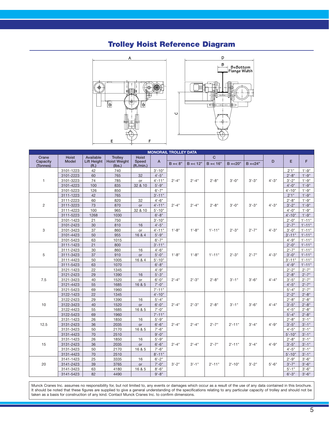## **Trolley Hoist Reference Diagram**





| <b>MONORAIL TROLLEY DATA</b>                             |                        |                    |                     |               |                         |            |             |             |             |             |          |                                                                                                                                                                                                                                                                                                                                                                                                                                                                                                                          |                        |
|----------------------------------------------------------|------------------------|--------------------|---------------------|---------------|-------------------------|------------|-------------|-------------|-------------|-------------|----------|--------------------------------------------------------------------------------------------------------------------------------------------------------------------------------------------------------------------------------------------------------------------------------------------------------------------------------------------------------------------------------------------------------------------------------------------------------------------------------------------------------------------------|------------------------|
| Crane                                                    | <b>Hoist</b>           | Available          | <b>Trolley</b>      | <b>Hoist</b>  |                         |            |             | $\mathbf C$ |             |             |          |                                                                                                                                                                                                                                                                                                                                                                                                                                                                                                                          |                        |
| Capacity                                                 | <b>Model</b>           | <b>Lift Height</b> | <b>Hoist Weight</b> | Speed         | A                       | $B = < 8"$ | $B = < 12"$ | $B = < 16"$ | $B = < 20"$ | $B = < 24"$ | D        | E                                                                                                                                                                                                                                                                                                                                                                                                                                                                                                                        | F                      |
|                                                          |                        | (f <sub>t</sub> )  | (lbs.)              | (ft./min.)    |                         |            |             |             |             |             |          |                                                                                                                                                                                                                                                                                                                                                                                                                                                                                                                          |                        |
|                                                          | 3101-1223              | 42                 | 740<br>765          |               | $3'-10"$<br>$4 - 5"$    |            |             |             |             | $3'-3''$    | $4 - 3"$ |                                                                                                                                                                                                                                                                                                                                                                                                                                                                                                                          | $1' - 9''$<br>$1'-9''$ |
| $\mathbf{1}$                                             | 3101-2223              | 60<br>74           | 785                 | 32            |                         |            | $2'-4"$     | $2'-8"$     | $3'-0''$    |             |          |                                                                                                                                                                                                                                                                                                                                                                                                                                                                                                                          | $1'-9''$               |
|                                                          | 3101-3223<br>3101-4223 |                    | 835                 | or<br>32 & 10 | $4' - 11"$<br>$5' - 9"$ | $2'-4"$    |             |             |             |             |          |                                                                                                                                                                                                                                                                                                                                                                                                                                                                                                                          | $1'-9''$               |
|                                                          | 3101-5223              | 100<br>126         | 850                 |               | $6' - 7''$              |            |             |             |             |             |          |                                                                                                                                                                                                                                                                                                                                                                                                                                                                                                                          | $1'-9''$               |
|                                                          | 3111-1223              | 42                 | 765                 |               | $3' - 11"$              |            | $2'-4"$     | $2 - 8"$    |             |             | $4 - 3"$ |                                                                                                                                                                                                                                                                                                                                                                                                                                                                                                                          | $1'-9''$               |
|                                                          | 3111-2223              | 60                 | 820                 | 32            | $4 - 6"$                |            |             |             |             |             |          |                                                                                                                                                                                                                                                                                                                                                                                                                                                                                                                          | $1' - 9''$             |
|                                                          | 3111-3223              | 73                 | 870                 | or            | $4'-11"$                | $2'-4"$    |             |             | $3'-0''$    | $3' - 3"$   |          |                                                                                                                                                                                                                                                                                                                                                                                                                                                                                                                          | $1'-9''$               |
|                                                          | 3111-4223              | 100                | 965                 | 32 & 10       | $5' - 10"$              |            |             |             |             |             |          |                                                                                                                                                                                                                                                                                                                                                                                                                                                                                                                          | $1'-9''$               |
| (Tonnes)<br>2<br>3<br>5<br>7.5<br>10<br>12.5<br>15<br>20 | 3111-5223              | 1268               | 1030                |               | $6' - 8"$               |            |             |             |             |             |          |                                                                                                                                                                                                                                                                                                                                                                                                                                                                                                                          | $1'-9''$               |
|                                                          | 3101-1423              | 21                 | 750                 |               | $3'-10"$                |            |             |             |             |             |          |                                                                                                                                                                                                                                                                                                                                                                                                                                                                                                                          | $1'-11"$               |
|                                                          | 3101-2423              | 30                 | 810                 | 16            | $4'-5"$                 |            | $1'-8''$    |             |             | $2' - 7"$   | $4 - 3"$ |                                                                                                                                                                                                                                                                                                                                                                                                                                                                                                                          | $1'-11"$               |
|                                                          | 3101-3423              | 37                 | 860                 | or            | $4' - 11"$              | $1'-8''$   |             | $1'-11"$    | $2'-3"$     |             |          |                                                                                                                                                                                                                                                                                                                                                                                                                                                                                                                          | $1' - 11''$            |
|                                                          | 3101-4423              | 50                 | 955                 | 16 & 4        | $5 - 9"$                |            |             |             |             |             |          |                                                                                                                                                                                                                                                                                                                                                                                                                                                                                                                          | $1'-11"$               |
|                                                          | 3101-5423              | 63                 | 1015                |               | $6' - 7"$               |            |             |             |             |             |          |                                                                                                                                                                                                                                                                                                                                                                                                                                                                                                                          | $1'-11"$               |
|                                                          | 3111-1423              | 21                 | 800                 |               | $3'-11"$                | $1'-8''$   | $1'-8''$    | $1' - 11''$ | $2'-3"$     | $2'-7"$     | $4 - 3"$ |                                                                                                                                                                                                                                                                                                                                                                                                                                                                                                                          | $1'-11"$               |
|                                                          | 3111-2423              | 30                 | 860                 | 16            | $4 - 6"$                |            |             |             |             |             |          |                                                                                                                                                                                                                                                                                                                                                                                                                                                                                                                          | $1'-11"$               |
|                                                          | 3111-3423              | 37                 | 910                 | or            | $5' - 0''$              |            |             |             |             |             |          |                                                                                                                                                                                                                                                                                                                                                                                                                                                                                                                          | $1'-11"$               |
|                                                          | 3111-4423              | 50                 | 1005                | 16 & 4        | $5' - 10"$              |            |             |             |             |             |          |                                                                                                                                                                                                                                                                                                                                                                                                                                                                                                                          | $1'-11"$               |
|                                                          | 3111-5423              | 63                 | 1070                |               | $6' - 8"$               |            |             |             |             |             |          |                                                                                                                                                                                                                                                                                                                                                                                                                                                                                                                          | $1'-11"$               |
|                                                          | 3121-1423              | 22                 | 1345                |               | $4 - 9"$                | $2'-4"$    | $2'-3"$     |             |             | $3'-6''$    | $4 - 4"$ |                                                                                                                                                                                                                                                                                                                                                                                                                                                                                                                          | $2'-7"$                |
|                                                          | 3121-2423              | 29                 | 1390                | 16            | $5' - 3"$               |            |             | $2'-8''$    | $3' - 1''$  |             |          |                                                                                                                                                                                                                                                                                                                                                                                                                                                                                                                          | $2'-7"$                |
|                                                          | 3121-3423              | 40                 | 1520                | or            | $6' - 0''$              |            |             |             |             |             |          |                                                                                                                                                                                                                                                                                                                                                                                                                                                                                                                          | $2'-7"$                |
|                                                          | 3121-4423              | 55                 | 1685                | 16 & 5        | $7' - 0''$              |            |             |             |             |             |          |                                                                                                                                                                                                                                                                                                                                                                                                                                                                                                                          | $2'-7"$                |
|                                                          | 3121-5423              | 69                 | 1960                |               | $7' - 11"$              |            |             |             |             |             |          | 2'1''<br>$2'-8''$<br>$3'-2"$<br>$4 - 0$ "<br>$4' - 10"$<br>2'1''<br>$2'-8''$<br>$3'-2"$<br>$4 - 0$ "<br>$4' - 10"$<br>$2'-0''$<br>$2'-7"$<br>$3'-0''$<br>$3' - 11"$<br>$4 - 9"$<br>$2'-0''$<br>$2'-7"$<br>$3'-0''$<br>$3' - 11"$<br>$4 - 9"$<br>$2'-2"$<br>$2'-8''$<br>$3'-5''$<br>$4 - 5"$<br>$5'-4"$<br>$2'-2"$<br>$2'-8''$<br>$3'-5''$<br>$4 - 5"$<br>$5'-4"$<br>$2'-8''$<br>$3'-5''$<br>$4 - 5"$<br>$5' - 10"$<br>$2'-8''$<br>$3'-5''$<br>$4 - 5"$<br>$5' - 10"$<br>$2 - 9"$<br>$3'-7''$<br>$5' - 1''$<br>$6' - 3''$ | $2'-7"$                |
|                                                          | 3122-1423              | 22                 | 1345                |               | $4'-10"$                |            |             |             |             |             |          |                                                                                                                                                                                                                                                                                                                                                                                                                                                                                                                          | $2'-8"$                |
|                                                          | 3122-2423              | 29                 | 1390                | 16            | $5' - 4"$               |            |             |             |             |             |          |                                                                                                                                                                                                                                                                                                                                                                                                                                                                                                                          | $2'-8''$               |
|                                                          | 3122-3423              | 40                 | 1520                | or            | $6'-0''$                | $2'-4"$    | $2'-3"$     | $2'-8"$     | $3' - 1''$  | $3'-6''$    | $4 - 4"$ |                                                                                                                                                                                                                                                                                                                                                                                                                                                                                                                          | $2'-8''$               |
|                                                          | 3122-4423              | 55                 | 1685                | 16 & 5        | $7' - 0''$              |            |             |             |             |             |          |                                                                                                                                                                                                                                                                                                                                                                                                                                                                                                                          | $2'-8''$               |
|                                                          | 3122-5423              | 69                 | 1960                |               | $7' - 11"$              |            |             |             |             |             |          |                                                                                                                                                                                                                                                                                                                                                                                                                                                                                                                          | $2'-8"$                |
|                                                          | 3131-1423              | 26                 | 1850                | 16            | $5 - 9"$                |            | $2'-4"$     | $2 - 7"$    | $2' - 11"$  | $3'-4"$     | $4 - 9"$ |                                                                                                                                                                                                                                                                                                                                                                                                                                                                                                                          | $3' - 1''$             |
|                                                          | 3131-2423              | 36                 | 2035                | or            | $6'-6"$                 | $2'-4"$    |             |             |             |             |          |                                                                                                                                                                                                                                                                                                                                                                                                                                                                                                                          | $3'-1$ "               |
|                                                          | 3131-3423              | 50                 | 2170                | 16 & 5        | $7' - 6''$              |            |             |             |             |             |          |                                                                                                                                                                                                                                                                                                                                                                                                                                                                                                                          | $3'-1$ "               |
|                                                          | 3131-4423              | 70                 | 2510                |               | $9' - 0''$              |            |             |             |             |             |          |                                                                                                                                                                                                                                                                                                                                                                                                                                                                                                                          | $3'-1$ "               |
|                                                          | 3131-1423              | 26                 | 1850                | 16            | $5 - 9"$                |            | $2'-4"$     | $2' - 7"$   | $2' - 11"$  |             |          |                                                                                                                                                                                                                                                                                                                                                                                                                                                                                                                          | $3'-1$ "               |
|                                                          | 3131-2423              | 36                 | 2035                | or            | $6'-6"$                 | $2'-4"$    |             |             |             | $3'-4"$     | $4 - 9"$ |                                                                                                                                                                                                                                                                                                                                                                                                                                                                                                                          | $3'-1$ "               |
|                                                          | 3131-3423              | 50                 | 2170                | 16 & 5        | $7' - 6"$               |            |             |             |             |             |          |                                                                                                                                                                                                                                                                                                                                                                                                                                                                                                                          | $3'-1$ "               |
|                                                          | 3131-4423              | 70                 | 2510                |               | $8' - 11"$              |            |             |             |             |             |          |                                                                                                                                                                                                                                                                                                                                                                                                                                                                                                                          | $3'-1$ "               |
|                                                          | 3141-1423              | 25                 | 3335                | 16            | $6' - 2"$               |            | $3'-1$ "    | $2' - 11"$  | $2'-10"$    | $3'-2"$     | $5'-6''$ |                                                                                                                                                                                                                                                                                                                                                                                                                                                                                                                          | $3'-6''$               |
|                                                          | 3141-2423              | 39                 | 3765                | or            | $7'-0''$                | $3'-2"$    |             |             |             |             |          |                                                                                                                                                                                                                                                                                                                                                                                                                                                                                                                          | $3'-6''$               |
|                                                          | 3141-3423              | 63                 | 4180                | 16 & 5        | $8'-6''$                |            |             |             |             |             |          |                                                                                                                                                                                                                                                                                                                                                                                                                                                                                                                          | $3'-6''$               |
|                                                          | 3141-5423              | 82                 | 4490                |               | $9' - 8"$               |            |             |             |             |             |          |                                                                                                                                                                                                                                                                                                                                                                                                                                                                                                                          | $3'-6''$               |

Munck Cranes Inc. assumes no responsibility for, but not limited to, any events or damages which occur as a result of the use of any data contained in this brochure. It should be noted that these figures are supplied to give a general understanding of the specifications relating to any particular capacity of trolley and should not be taken as a basis for construction of any kind. Contact Munck Cranes Inc. to confirm dimensions.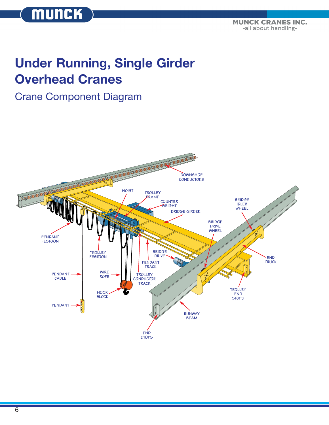**TOTAL CRANE SYSTEMS** -all about handling-

## **Under Running, Single Girder Overhead Cranes**

## Crane Component Diagram

**MUNCK** 



6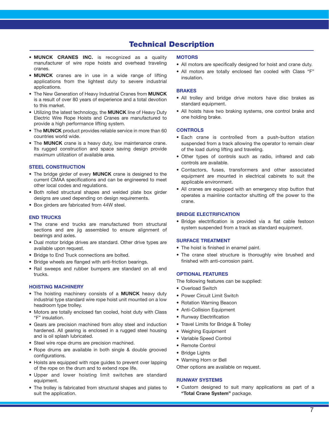### **Technical Description**

- **MUNCK CRANES INC.** is recognized as a quality manufacturer of wire rope hoists and overhead traveling cranes.
- **MUNCK** cranes are in use in a wide range of lifting applications from the lightest duty to severe industrial applications.
- The New Generation of Heavy Industrial Cranes from **MUNCK** is a result of over 80 years of experience and a total devotion to this market.
- Utilizing the latest technology, the **MUNCK** line of Heavy Duty Electric Wire Rope Hoists and Cranes are manufactured to provide a high performance lifting system.
- The **MUNCK** product provides reliable service in more than 60 countries world wide.
- The **MUNCK** crane is a heavy duty, low maintenance crane. Its rugged construction and space saving design provide maximum utilization of available area.

#### **STEEL CONSTRUCTION**

- The bridge girder of every **MUNCK** crane is designed to the current CMAA specifications and can be engineered to meet other local codes and regulations.
- Both rolled structural shapes and welded plate box girder designs are used depending on design requirements.
- Box girders are fabricated from 44W steel.

#### **END TRUCKS**

- The crane end trucks are manufactured from structural sections and are jig assembled to ensure alignment of bearings and axles.
- Dual motor bridge drives are standard. Other drive types are available upon request.
- Bridge to End Truck connections are bolted.
- Bridge wheels are flanged with anti-friction bearings.
- Rail sweeps and rubber bumpers are standard on all end trucks.

#### **HOISTING MACHINERY**

- The hoisting machinery consists of a **MUNCK** heavy duty industrial type standard wire rope hoist unit mounted on a low headroom type trolley.
- Motors are totally enclosed fan cooled, hoist duty with Class "F" insulation.
- Gears are precision machined from alloy steel and induction hardened. All gearing is enclosed in a rugged steel housing and is oil splash lubricated.
- Steel wire rope drums are precision machined.
- Rope drums are available in both single & double grooved configurations.
- Hoists are equipped with rope guides to prevent over lapping of the rope on the drum and to extend rope life.
- Upper and lower hoisting limit switches are standard equipment.
- The trolley is fabricated from structural shapes and plates to suit the application.

#### **MOTORS**

- All motors are specifically designed for hoist and crane duty.
- All motors are totally enclosed fan cooled with Class "F" insulation.

#### **BRAKES**

- All trolley and bridge drive motors have disc brakes as standard equipment.
- All hoists have two braking systems, one control brake and one holding brake.

#### **CONTROLS**

- Each crane is controlled from a push-button station suspended from a track allowing the operator to remain clear of the load during lifting and traveling.
- Other types of controls such as radio, infrared and cab controls are available.
- Contactors, fuses, transformers and other associated equipment are mounted in electrical cabinets to suit the applicable environment.
- All cranes are equipped with an emergency stop button that operates a mainline contactor shutting off the power to the crane.

#### **BRIDGE ELECTRIFICATION**

• Bridge electrification is provided via a flat cable festoon system suspended from a track as standard equipment.

#### **SURFACE TREATMENT**

- The hoist is finished in enamel paint.
- The crane steel structure is thoroughly wire brushed and finished with anti-corrosion paint.

#### **OPTIONAL FEATURES**

The following features can be supplied:

- Overload Switch
- Power Circuit Limit Switch
- Rotation Warning Beacon
- Anti-Collision Equipment
- Runway Electrification
- Travel Limits for Bridge & Trolley
- Weighing Equipment
- Variable Speed Control
- Remote Control
- Bridge Lights
- Warning Horn or Bell

Other options are available on request.

#### **RUNWAY SYSTEMS**

• Custom designed to suit many applications as part of a **"Total Crane System"** package.